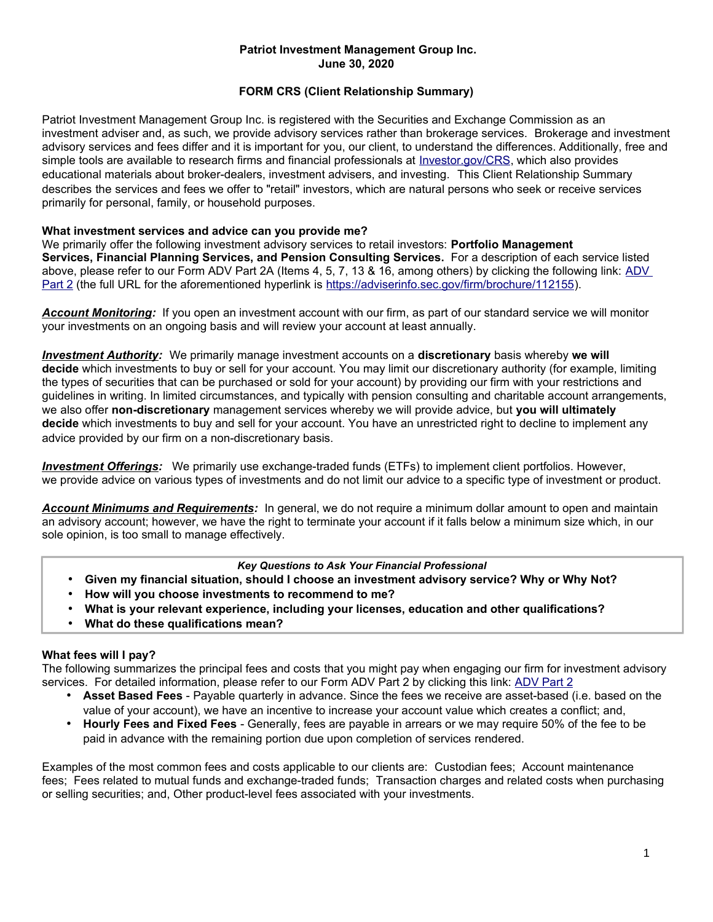### **Patriot Investment Management Group Inc. June 30, 2020**

# **FORM CRS (Client Relationship Summary)**

Patriot Investment Management Group Inc. is registered with the Securities and Exchange Commission as an investment adviser and, as such, we provide advisory services rather than brokerage services. Brokerage and investment advisory services and fees differ and it is important for you, our client, to understand the differences. Additionally, free and simple tools are available to research firms and financial professionals at *Investor.gov/CRS*, which also provides educational materials about broker-dealers, investment advisers, and investing. This Client Relationship Summary describes the services and fees we offer to "retail" investors, which are natural persons who seek or receive services primarily for personal, family, or household purposes.

## **What investment services and advice can you provide me?**

We primarily offer the following investment advisory services to retail investors: **Portfolio Management Services, Financial Planning Services, and Pension Consulting Services.** For a description of each service listed above, please refer to our Form [ADV](https://adviserinfo.sec.gov/firm/brochure/112155) Part 2A (Items 4, 5, 7, 13 & 16, among others) by clicking the following link: ADV [Part 2](https://adviserinfo.sec.gov/firm/brochure/112155) (the full URL for the aforementioned hyperlink is [https://adviserinfo.sec.gov/firm/brochure/112155\)](https://adviserinfo.sec.gov/firm/brochure/112155).

*Account Monitoring:* If you open an investment account with our firm, as part of our standard service we will monitor your investments on an ongoing basis and will review your account at least annually.

*Investment Authority:* We primarily manage investment accounts on a **discretionary** basis whereby **we will decide** which investments to buy or sell for your account. You may limit our discretionary authority (for example, limiting the types of securities that can be purchased or sold for your account) by providing our firm with your restrictions and guidelines in writing. In limited circumstances, and typically with pension consulting and charitable account arrangements, we also offer **non-discretionary** management services whereby we will provide advice, but **you will ultimately decide** which investments to buy and sell for your account. You have an unrestricted right to decline to implement any advice provided by our firm on a non-discretionary basis.

 *Investment Offerings:* We primarily use exchange-traded funds (ETFs) to implement client portfolios. However, we provide advice on various types of investments and do not limit our advice to a specific type of investment or product.

*Account Minimums and Requirements:* In general, we do not require a minimum dollar amount to open and maintain an advisory account; however, we have the right to terminate your account if it falls below a minimum size which, in our sole opinion, is too small to manage effectively.

#### *Key Questions to Ask Your Financial Professional*

- **Given my financial situation, should I choose an investment advisory service? Why or Why Not?**
- **How will you choose investments to recommend to me?**
- **What is your relevant experience, including your licenses, education and other qualifications?**
- **What do these qualifications mean?**

## **What fees will I pay?**

The following summarizes the principal fees and costs that you might pay when engaging our firm for investment advisory services. For detailed information, please refer to our Form ADV Part 2 by clicking this link: [ADV Part 2](https://adviserinfo.sec.gov/firm/brochure/112155)

- **Asset Based Fees**  Payable quarterly in advance. Since the fees we receive are asset-based (i.e. based on the value of your account), we have an incentive to increase your account value which creates a conflict; and,
- **Hourly Fees and Fixed Fees** Generally, fees are payable in arrears or we may require 50% of the fee to be paid in advance with the remaining portion due upon completion of services rendered.

Examples of the most common fees and costs applicable to our clients are: Custodian fees; Account maintenance fees; Fees related to mutual funds and exchange-traded funds; Transaction charges and related costs when purchasing or selling securities; and, Other product-level fees associated with your investments.